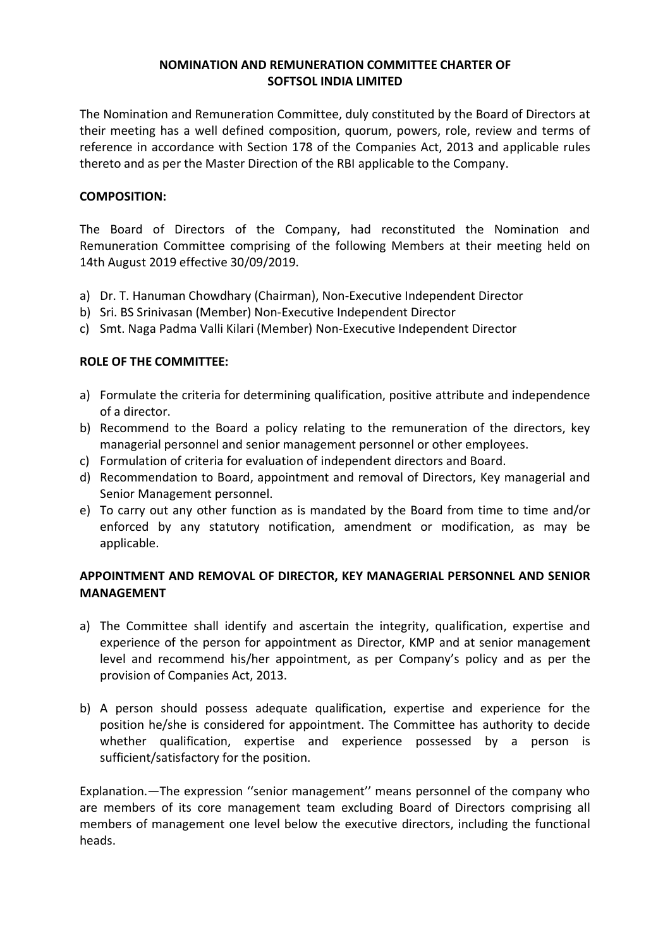## **NOMINATION AND REMUNERATION COMMITTEE CHARTER OF SOFTSOL INDIA LIMITED**

The Nomination and Remuneration Committee, duly constituted by the Board of Directors at their meeting has a well defined composition, quorum, powers, role, review and terms of reference in accordance with Section 178 of the Companies Act, 2013 and applicable rules thereto and as per the Master Direction of the RBI applicable to the Company.

## **COMPOSITION:**

The Board of Directors of the Company, had reconstituted the Nomination and Remuneration Committee comprising of the following Members at their meeting held on 14th August 2019 effective 30/09/2019.

- a) Dr. T. Hanuman Chowdhary (Chairman), Non-Executive Independent Director
- b) Sri. BS Srinivasan (Member) Non-Executive Independent Director
- c) Smt. Naga Padma Valli Kilari (Member) Non-Executive Independent Director

### **ROLE OF THE COMMITTEE:**

- a) Formulate the criteria for determining qualification, positive attribute and independence of a director.
- b) Recommend to the Board a policy relating to the remuneration of the directors, key managerial personnel and senior management personnel or other employees.
- c) Formulation of criteria for evaluation of independent directors and Board.
- d) Recommendation to Board, appointment and removal of Directors, Key managerial and Senior Management personnel.
- e) To carry out any other function as is mandated by the Board from time to time and/or enforced by any statutory notification, amendment or modification, as may be applicable.

# **APPOINTMENT AND REMOVAL OF DIRECTOR, KEY MANAGERIAL PERSONNEL AND SENIOR MANAGEMENT**

- a) The Committee shall identify and ascertain the integrity, qualification, expertise and experience of the person for appointment as Director, KMP and at senior management level and recommend his/her appointment, as per Company's policy and as per the provision of Companies Act, 2013.
- b) A person should possess adequate qualification, expertise and experience for the position he/she is considered for appointment. The Committee has authority to decide whether qualification, expertise and experience possessed by a person is sufficient/satisfactory for the position.

Explanation.—The expression ''senior management'' means personnel of the company who are members of its core management team excluding Board of Directors comprising all members of management one level below the executive directors, including the functional heads.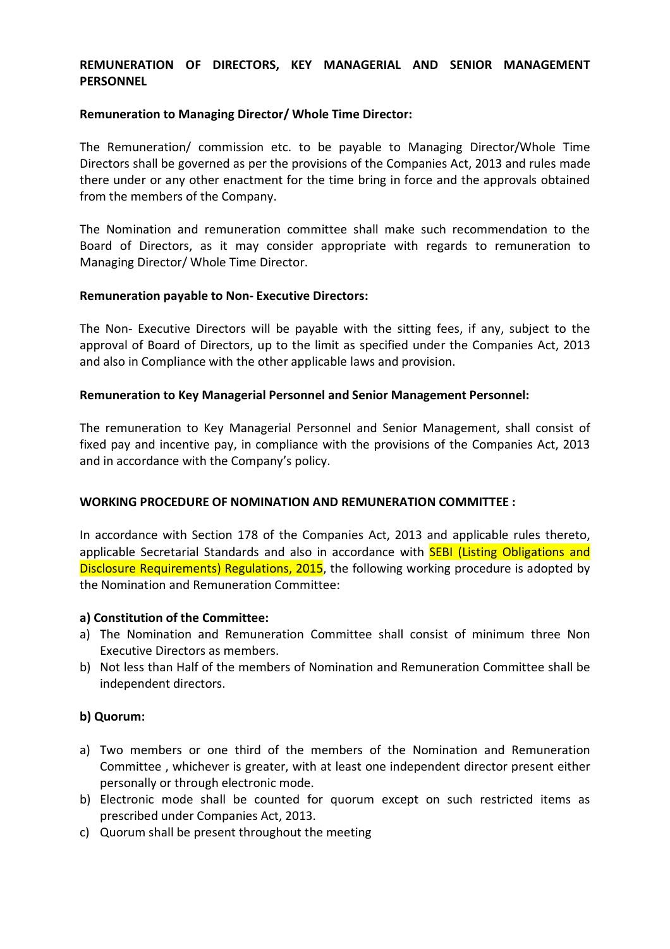## **REMUNERATION OF DIRECTORS, KEY MANAGERIAL AND SENIOR MANAGEMENT PERSONNEL**

### **Remuneration to Managing Director/ Whole Time Director:**

The Remuneration/ commission etc. to be payable to Managing Director/Whole Time Directors shall be governed as per the provisions of the Companies Act, 2013 and rules made there under or any other enactment for the time bring in force and the approvals obtained from the members of the Company.

The Nomination and remuneration committee shall make such recommendation to the Board of Directors, as it may consider appropriate with regards to remuneration to Managing Director/ Whole Time Director.

### **Remuneration payable to Non- Executive Directors:**

The Non- Executive Directors will be payable with the sitting fees, if any, subject to the approval of Board of Directors, up to the limit as specified under the Companies Act, 2013 and also in Compliance with the other applicable laws and provision.

### **Remuneration to Key Managerial Personnel and Senior Management Personnel:**

The remuneration to Key Managerial Personnel and Senior Management, shall consist of fixed pay and incentive pay, in compliance with the provisions of the Companies Act, 2013 and in accordance with the Company's policy.

### **WORKING PROCEDURE OF NOMINATION AND REMUNERATION COMMITTEE :**

In accordance with Section 178 of the Companies Act, 2013 and applicable rules thereto, applicable Secretarial Standards and also in accordance with **SEBI (Listing Obligations and** Disclosure Requirements) Regulations, 2015, the following working procedure is adopted by the Nomination and Remuneration Committee:

#### **a) Constitution of the Committee:**

- a) The Nomination and Remuneration Committee shall consist of minimum three Non Executive Directors as members.
- b) Not less than Half of the members of Nomination and Remuneration Committee shall be independent directors.

### **b) Quorum:**

- a) Two members or one third of the members of the Nomination and Remuneration Committee , whichever is greater, with at least one independent director present either personally or through electronic mode.
- b) Electronic mode shall be counted for quorum except on such restricted items as prescribed under Companies Act, 2013.
- c) Quorum shall be present throughout the meeting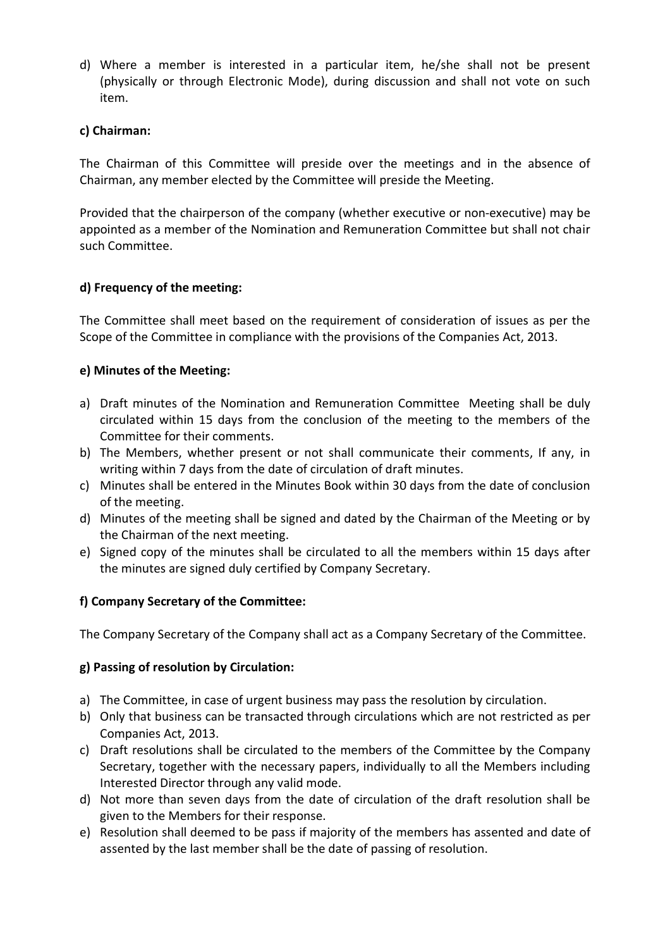d) Where a member is interested in a particular item, he/she shall not be present (physically or through Electronic Mode), during discussion and shall not vote on such item.

# **c) Chairman:**

The Chairman of this Committee will preside over the meetings and in the absence of Chairman, any member elected by the Committee will preside the Meeting.

Provided that the chairperson of the company (whether executive or non-executive) may be appointed as a member of the Nomination and Remuneration Committee but shall not chair such Committee.

# **d) Frequency of the meeting:**

The Committee shall meet based on the requirement of consideration of issues as per the Scope of the Committee in compliance with the provisions of the Companies Act, 2013.

# **e) Minutes of the Meeting:**

- a) Draft minutes of the Nomination and Remuneration Committee Meeting shall be duly circulated within 15 days from the conclusion of the meeting to the members of the Committee for their comments.
- b) The Members, whether present or not shall communicate their comments, If any, in writing within 7 days from the date of circulation of draft minutes.
- c) Minutes shall be entered in the Minutes Book within 30 days from the date of conclusion of the meeting.
- d) Minutes of the meeting shall be signed and dated by the Chairman of the Meeting or by the Chairman of the next meeting.
- e) Signed copy of the minutes shall be circulated to all the members within 15 days after the minutes are signed duly certified by Company Secretary.

# **f) Company Secretary of the Committee:**

The Company Secretary of the Company shall act as a Company Secretary of the Committee.

# **g) Passing of resolution by Circulation:**

- a) The Committee, in case of urgent business may pass the resolution by circulation.
- b) Only that business can be transacted through circulations which are not restricted as per Companies Act, 2013.
- c) Draft resolutions shall be circulated to the members of the Committee by the Company Secretary, together with the necessary papers, individually to all the Members including Interested Director through any valid mode.
- d) Not more than seven days from the date of circulation of the draft resolution shall be given to the Members for their response.
- e) Resolution shall deemed to be pass if majority of the members has assented and date of assented by the last member shall be the date of passing of resolution.